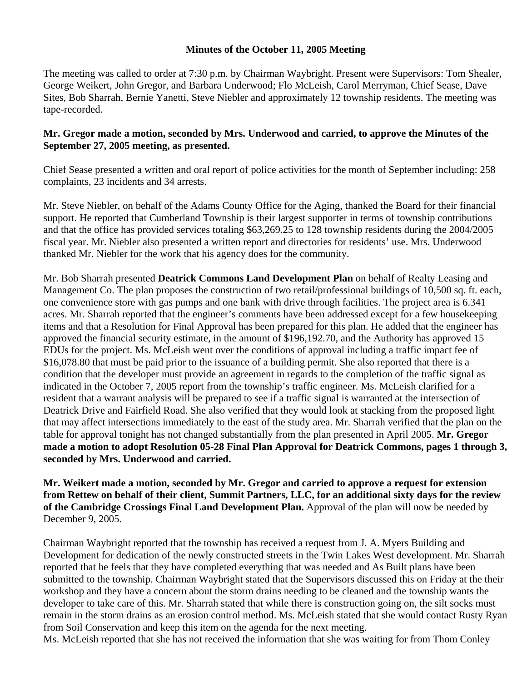## **Minutes of the October 11, 2005 Meeting**

The meeting was called to order at 7:30 p.m. by Chairman Waybright. Present were Supervisors: Tom Shealer, George Weikert, John Gregor, and Barbara Underwood; Flo McLeish, Carol Merryman, Chief Sease, Dave Sites, Bob Sharrah, Bernie Yanetti, Steve Niebler and approximately 12 township residents. The meeting was tape-recorded.

## **Mr. Gregor made a motion, seconded by Mrs. Underwood and carried, to approve the Minutes of the September 27, 2005 meeting, as presented.**

Chief Sease presented a written and oral report of police activities for the month of September including: 258 complaints, 23 incidents and 34 arrests.

Mr. Steve Niebler, on behalf of the Adams County Office for the Aging, thanked the Board for their financial support. He reported that Cumberland Township is their largest supporter in terms of township contributions and that the office has provided services totaling \$63,269.25 to 128 township residents during the 2004/2005 fiscal year. Mr. Niebler also presented a written report and directories for residents' use. Mrs. Underwood thanked Mr. Niebler for the work that his agency does for the community.

Mr. Bob Sharrah presented **Deatrick Commons Land Development Plan** on behalf of Realty Leasing and Management Co. The plan proposes the construction of two retail/professional buildings of 10,500 sq. ft. each, one convenience store with gas pumps and one bank with drive through facilities. The project area is 6.341 acres. Mr. Sharrah reported that the engineer's comments have been addressed except for a few housekeeping items and that a Resolution for Final Approval has been prepared for this plan. He added that the engineer has approved the financial security estimate, in the amount of \$196,192.70, and the Authority has approved 15 EDUs for the project. Ms. McLeish went over the conditions of approval including a traffic impact fee of \$16,078.80 that must be paid prior to the issuance of a building permit. She also reported that there is a condition that the developer must provide an agreement in regards to the completion of the traffic signal as indicated in the October 7, 2005 report from the township's traffic engineer. Ms. McLeish clarified for a resident that a warrant analysis will be prepared to see if a traffic signal is warranted at the intersection of Deatrick Drive and Fairfield Road. She also verified that they would look at stacking from the proposed light that may affect intersections immediately to the east of the study area. Mr. Sharrah verified that the plan on the table for approval tonight has not changed substantially from the plan presented in April 2005. **Mr. Gregor made a motion to adopt Resolution 05-28 Final Plan Approval for Deatrick Commons, pages 1 through 3, seconded by Mrs. Underwood and carried.** 

**Mr. Weikert made a motion, seconded by Mr. Gregor and carried to approve a request for extension from Rettew on behalf of their client, Summit Partners, LLC, for an additional sixty days for the review of the Cambridge Crossings Final Land Development Plan.** Approval of the plan will now be needed by December 9, 2005.

Chairman Waybright reported that the township has received a request from J. A. Myers Building and Development for dedication of the newly constructed streets in the Twin Lakes West development. Mr. Sharrah reported that he feels that they have completed everything that was needed and As Built plans have been submitted to the township. Chairman Waybright stated that the Supervisors discussed this on Friday at the their workshop and they have a concern about the storm drains needing to be cleaned and the township wants the developer to take care of this. Mr. Sharrah stated that while there is construction going on, the silt socks must remain in the storm drains as an erosion control method. Ms. McLeish stated that she would contact Rusty Ryan from Soil Conservation and keep this item on the agenda for the next meeting.

Ms. McLeish reported that she has not received the information that she was waiting for from Thom Conley